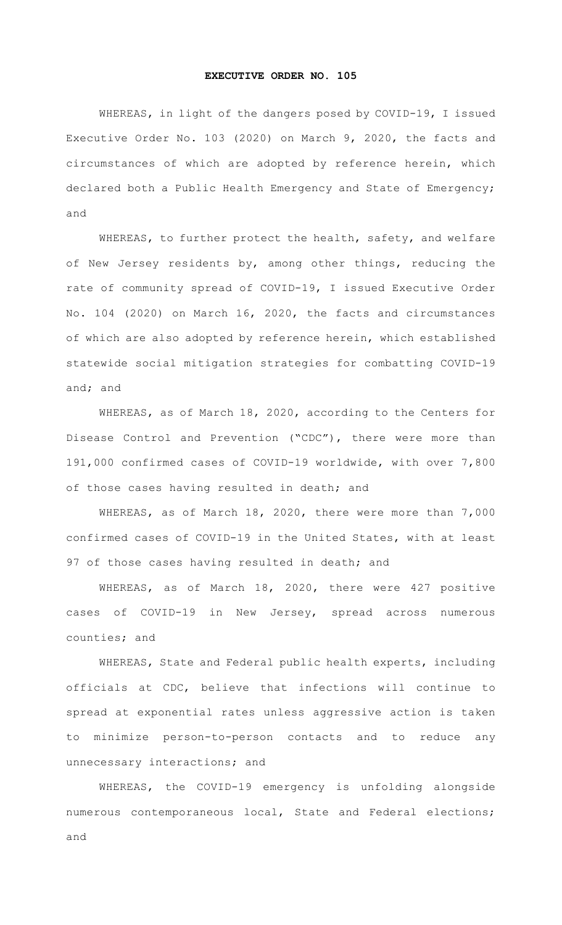## **EXECUTIVE ORDER NO. 105**

WHEREAS, in light of the dangers posed by COVID-19, I issued Executive Order No. 103 (2020) on March 9, 2020, the facts and circumstances of which are adopted by reference herein, which declared both a Public Health Emergency and State of Emergency; and

WHEREAS, to further protect the health, safety, and welfare of New Jersey residents by, among other things, reducing the rate of community spread of COVID-19, I issued Executive Order No. 104 (2020) on March 16, 2020, the facts and circumstances of which are also adopted by reference herein, which established statewide social mitigation strategies for combatting COVID-19 and; and

WHEREAS, as of March 18, 2020, according to the Centers for Disease Control and Prevention ("CDC"), there were more than 191,000 confirmed cases of COVID-19 worldwide, with over 7,800 of those cases having resulted in death; and

WHEREAS, as of March 18, 2020, there were more than 7,000 confirmed cases of COVID-19 in the United States, with at least 97 of those cases having resulted in death; and

WHEREAS, as of March 18, 2020, there were 427 positive cases of COVID-19 in New Jersey, spread across numerous counties; and

WHEREAS, State and Federal public health experts, including officials at CDC, believe that infections will continue to spread at exponential rates unless aggressive action is taken to minimize person-to-person contacts and to reduce any unnecessary interactions; and

WHEREAS, the COVID-19 emergency is unfolding alongside numerous contemporaneous local, State and Federal elections; and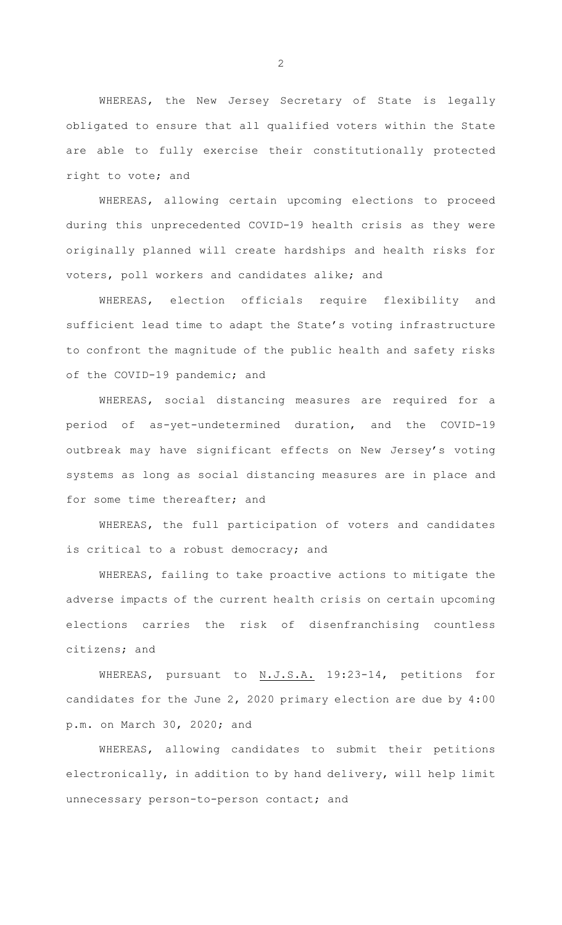WHEREAS, the New Jersey Secretary of State is legally obligated to ensure that all qualified voters within the State are able to fully exercise their constitutionally protected right to vote; and

WHEREAS, allowing certain upcoming elections to proceed during this unprecedented COVID-19 health crisis as they were originally planned will create hardships and health risks for voters, poll workers and candidates alike; and

WHEREAS, election officials require flexibility and sufficient lead time to adapt the State's voting infrastructure to confront the magnitude of the public health and safety risks of the COVID-19 pandemic; and

WHEREAS, social distancing measures are required for a period of as-yet-undetermined duration, and the COVID-19 outbreak may have significant effects on New Jersey's voting systems as long as social distancing measures are in place and for some time thereafter; and

WHEREAS, the full participation of voters and candidates is critical to a robust democracy; and

WHEREAS, failing to take proactive actions to mitigate the adverse impacts of the current health crisis on certain upcoming elections carries the risk of disenfranchising countless citizens; and

WHEREAS, pursuant to N.J.S.A. 19:23-14, petitions for candidates for the June 2, 2020 primary election are due by 4:00 p.m. on March 30, 2020; and

WHEREAS, allowing candidates to submit their petitions electronically, in addition to by hand delivery, will help limit unnecessary person-to-person contact; and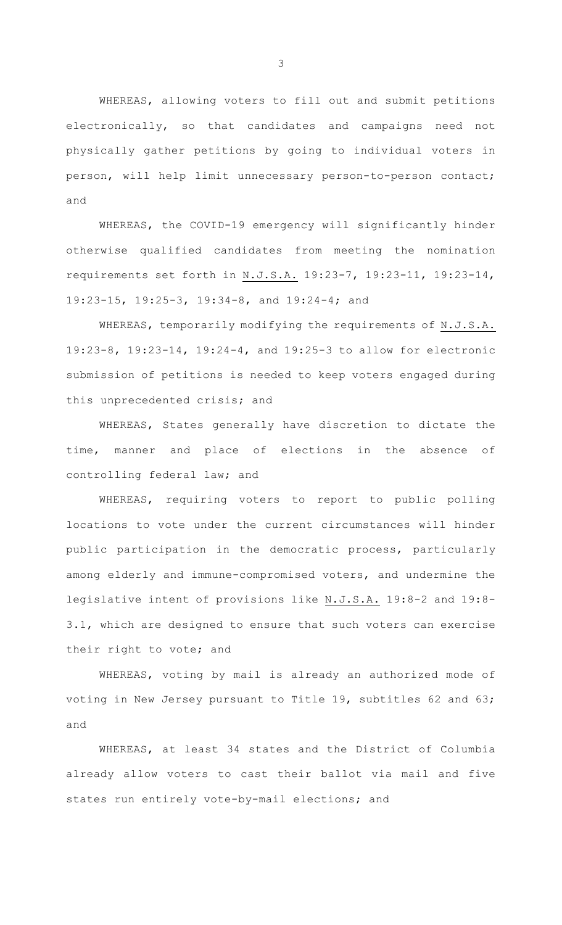WHEREAS, allowing voters to fill out and submit petitions electronically, so that candidates and campaigns need not physically gather petitions by going to individual voters in person, will help limit unnecessary person-to-person contact; and

WHEREAS, the COVID-19 emergency will significantly hinder otherwise qualified candidates from meeting the nomination requirements set forth in N.J.S.A. 19:23-7, 19:23-11, 19:23-14, 19:23-15, 19:25-3, 19:34-8, and 19:24-4; and

WHEREAS, temporarily modifying the requirements of N.J.S.A. 19:23-8, 19:23-14, 19:24-4, and 19:25-3 to allow for electronic submission of petitions is needed to keep voters engaged during this unprecedented crisis; and

WHEREAS, States generally have discretion to dictate the time, manner and place of elections in the absence of controlling federal law; and

WHEREAS, requiring voters to report to public polling locations to vote under the current circumstances will hinder public participation in the democratic process, particularly among elderly and immune-compromised voters, and undermine the legislative intent of provisions like N.J.S.A. 19:8-2 and 19:8- 3.1, which are designed to ensure that such voters can exercise their right to vote; and

WHEREAS, voting by mail is already an authorized mode of voting in New Jersey pursuant to Title 19, subtitles 62 and 63; and

 WHEREAS, at least 34 states and the District of Columbia already allow voters to cast their ballot via mail and five states run entirely vote-by-mail elections; and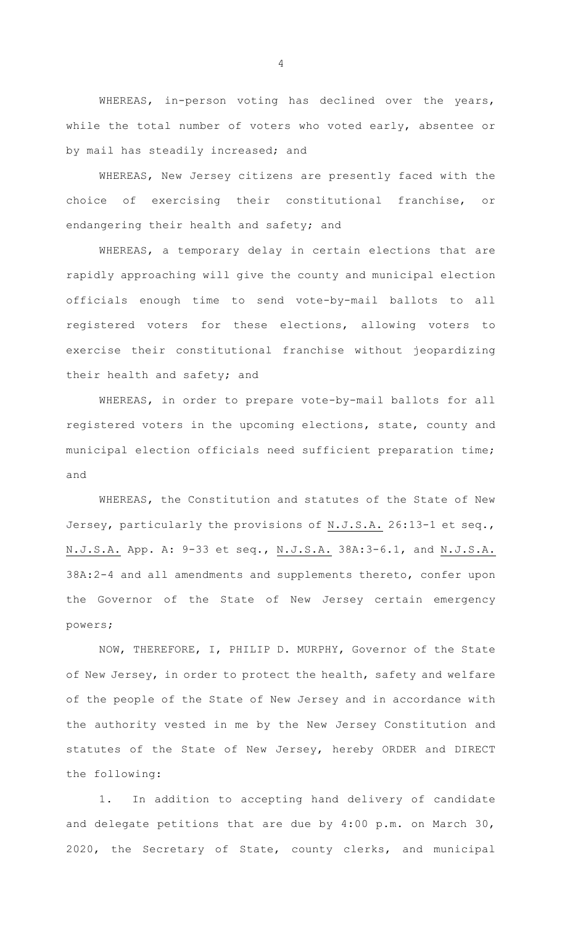WHEREAS, in-person voting has declined over the years, while the total number of voters who voted early, absentee or by mail has steadily increased; and

WHEREAS, New Jersey citizens are presently faced with the choice of exercising their constitutional franchise, or endangering their health and safety; and

WHEREAS, a temporary delay in certain elections that are rapidly approaching will give the county and municipal election officials enough time to send vote-by-mail ballots to all registered voters for these elections, allowing voters to exercise their constitutional franchise without jeopardizing their health and safety; and

WHEREAS, in order to prepare vote-by-mail ballots for all registered voters in the upcoming elections, state, county and municipal election officials need sufficient preparation time; and

WHEREAS, the Constitution and statutes of the State of New Jersey, particularly the provisions of N.J.S.A. 26:13-1 et seq., N.J.S.A. App. A: 9-33 et seq., N.J.S.A. 38A:3-6.1, and N.J.S.A. 38A:2-4 and all amendments and supplements thereto, confer upon the Governor of the State of New Jersey certain emergency powers;

NOW, THEREFORE, I, PHILIP D. MURPHY, Governor of the State of New Jersey, in order to protect the health, safety and welfare of the people of the State of New Jersey and in accordance with the authority vested in me by the New Jersey Constitution and statutes of the State of New Jersey, hereby ORDER and DIRECT the following:

1. In addition to accepting hand delivery of candidate and delegate petitions that are due by 4:00 p.m. on March 30, 2020, the Secretary of State, county clerks, and municipal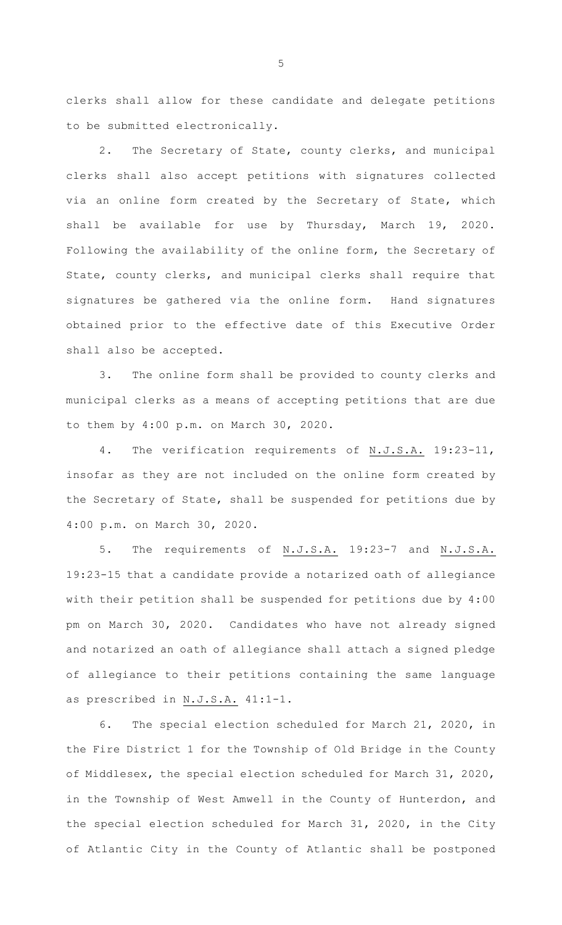clerks shall allow for these candidate and delegate petitions to be submitted electronically.

2. The Secretary of State, county clerks, and municipal clerks shall also accept petitions with signatures collected via an online form created by the Secretary of State, which shall be available for use by Thursday, March 19, 2020. Following the availability of the online form, the Secretary of State, county clerks, and municipal clerks shall require that signatures be gathered via the online form. Hand signatures obtained prior to the effective date of this Executive Order shall also be accepted.

3. The online form shall be provided to county clerks and municipal clerks as a means of accepting petitions that are due to them by 4:00 p.m. on March 30, 2020.

4. The verification requirements of N.J.S.A. 19:23-11, insofar as they are not included on the online form created by the Secretary of State, shall be suspended for petitions due by 4:00 p.m. on March 30, 2020.

5. The requirements of N.J.S.A. 19:23-7 and N.J.S.A. 19:23-15 that a candidate provide a notarized oath of allegiance with their petition shall be suspended for petitions due by 4:00 pm on March 30, 2020. Candidates who have not already signed and notarized an oath of allegiance shall attach a signed pledge of allegiance to their petitions containing the same language as prescribed in N.J.S.A. 41:1-1.

6. The special election scheduled for March 21, 2020, in the Fire District 1 for the Township of Old Bridge in the County of Middlesex, the special election scheduled for March 31, 2020, in the Township of West Amwell in the County of Hunterdon, and the special election scheduled for March 31, 2020, in the City of Atlantic City in the County of Atlantic shall be postponed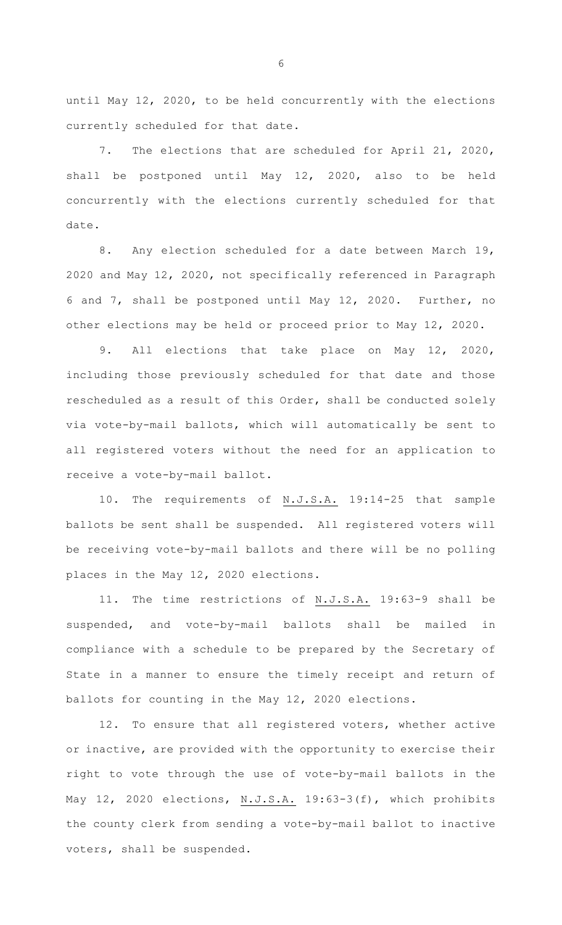until May 12, 2020, to be held concurrently with the elections currently scheduled for that date.

7. The elections that are scheduled for April 21, 2020, shall be postponed until May 12, 2020, also to be held concurrently with the elections currently scheduled for that date.

8. Any election scheduled for a date between March 19, 2020 and May 12, 2020, not specifically referenced in Paragraph 6 and 7, shall be postponed until May 12, 2020. Further, no other elections may be held or proceed prior to May 12, 2020.

9. All elections that take place on May 12, 2020, including those previously scheduled for that date and those rescheduled as a result of this Order, shall be conducted solely via vote-by-mail ballots, which will automatically be sent to all registered voters without the need for an application to receive a vote-by-mail ballot.

10. The requirements of N.J.S.A. 19:14-25 that sample ballots be sent shall be suspended. All registered voters will be receiving vote-by-mail ballots and there will be no polling places in the May 12, 2020 elections.

11. The time restrictions of N.J.S.A. 19:63-9 shall be suspended, and vote-by-mail ballots shall be mailed in compliance with a schedule to be prepared by the Secretary of State in a manner to ensure the timely receipt and return of ballots for counting in the May 12, 2020 elections.

12. To ensure that all registered voters, whether active or inactive, are provided with the opportunity to exercise their right to vote through the use of vote-by-mail ballots in the May 12, 2020 elections, N.J.S.A. 19:63-3(f), which prohibits the county clerk from sending a vote-by-mail ballot to inactive voters, shall be suspended.